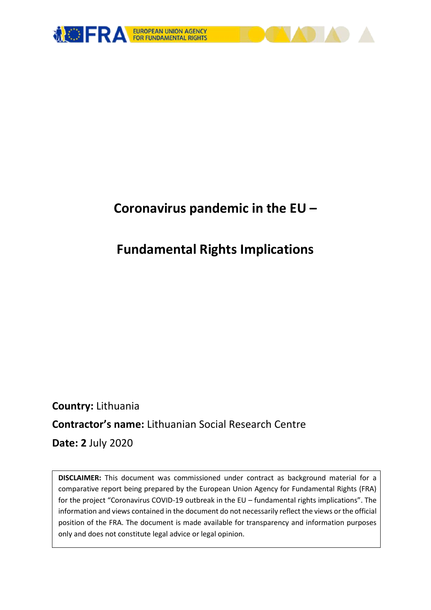

# **Coronavirus pandemic in the EU –**

# **Fundamental Rights Implications**

**Country:** Lithuania **Contractor's name:** Lithuanian Social Research Centre **Date: 2** July 2020

**DISCLAIMER:** This document was commissioned under contract as background material for a comparative report being prepared by the European Union Agency for Fundamental Rights (FRA) for the project "Coronavirus COVID-19 outbreak in the EU – fundamental rights implications". The information and views contained in the document do not necessarily reflect the views or the official position of the FRA. The document is made available for transparency and information purposes only and does not constitute legal advice or legal opinion.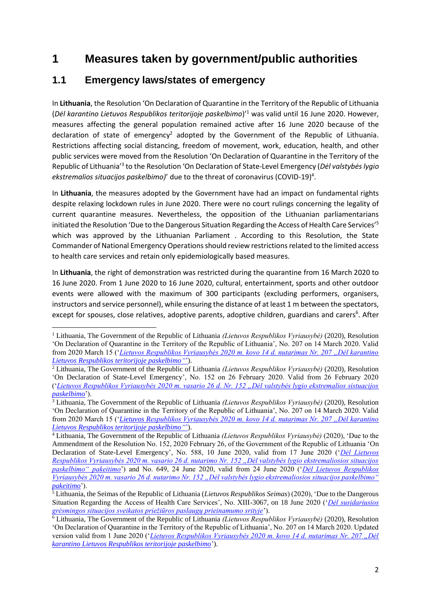# **1 Measures taken by government/public authorities**

### **1.1 Emergency laws/states of emergency**

In **Lithuania**, the Resolution 'On Declaration of Quarantine in the Territory of the Republic of Lithuania (*Dėl karantino Lietuvos Respublikos teritorijoje paskelbimo*)'<sup>1</sup> was valid until 16 June 2020. However, measures affecting the general population remained active after 16 June 2020 because of the declaration of state of emergency<sup>2</sup> adopted by the Government of the Republic of Lithuania. Restrictions affecting social distancing, freedom of movement, work, education, health, and other public services were moved from the Resolution 'On Declaration of Quarantine in the Territory of the Republic of Lithuania<sup>'3</sup> to the Resolution 'On Declaration of State-Level Emergency (Dėl valstybės lygio ekstremalios situacijos paskelbimo)<sup>'</sup> due to the threat of coronavirus (COVID-19)<sup>4</sup>.

In **Lithuania**, the measures adopted by the Government have had an impact on fundamental rights despite relaxing lockdown rules in June 2020. There were no court rulings concerning the legality of current quarantine measures. Nevertheless, the opposition of the Lithuanian parliamentarians initiated the Resolution 'Due to the Dangerous Situation Regarding the Access of Health Care Services'<sup>5</sup> which was approved by the Lithuanian Parliament . According to this Resolution, the State Commander of National Emergency Operations should review restrictions related to the limited access to health care services and retain only epidemiologically based measures.

In **Lithuania**, the right of demonstration was restricted during the quarantine from 16 March 2020 to 16 June 2020. From 1 June 2020 to 16 June 2020, cultural, entertainment, sports and other outdoor events were allowed with the maximum of 300 participants (excluding performers, organisers, instructors and service personnel), while ensuring the distance of at least 1 m between the spectators, except for spouses, close relatives, adoptive parents, adoptive children, guardians and carers<sup>6</sup>. After

**<sup>.</sup>** <sup>1</sup> Lithuania, The Government of the Republic of Lithuania *(Lietuvos Respublikos Vyriausybė)* (2020), Resolution 'On Declaration of Quarantine in the Territory of the Republic of Lithuania', No. 207 on 14 March 2020. Valid from 2020 March 15 ('*[Lietuvos Respublikos Vyriausybės 2020 m. kovo 14 d. nutarimas Nr. 207 "Dėl karantino](https://www.e-tar.lt/portal/lt/legalAct/73c0b060663111eabee4a336e7e6fdab/WtdCSiIMXu)  [Lietuvos Respublikos teritorijoje paskelbimo"](https://www.e-tar.lt/portal/lt/legalAct/73c0b060663111eabee4a336e7e6fdab/WtdCSiIMXu)*').

<sup>2</sup> Lithuania, The Government of the Republic of Lithuania *(Lietuvos Respublikos Vyriausybė)* (2020), Resolution 'On Declaration of State-Level Emergency', No. 152 on 26 February 2020. Valid from 26 February 2020 ('*[Lietuvos Respublikos Vyriausybės 2020 m. vasario 26 d. Nr. 152 "Dėl valstybės lygio ekstremalios sistuacijos](https://e-seimas.lrs.lt/portal/legalAct/lt/TAD/8feb1a7658a111eaac56f6e40072e018?positionInSearchResults=31&searchModelUUID=e5efa5d2-b709-413d-b7ad-feece99aa238)  [paskelbimo](https://e-seimas.lrs.lt/portal/legalAct/lt/TAD/8feb1a7658a111eaac56f6e40072e018?positionInSearchResults=31&searchModelUUID=e5efa5d2-b709-413d-b7ad-feece99aa238)*').

<sup>3</sup> Lithuania, The Government of the Republic of Lithuania *(Lietuvos Respublikos Vyriausybė)* (2020), Resolution 'On Declaration of Quarantine in the Territory of the Republic of Lithuania', No. 207 on 14 March 2020. Valid from 2020 March 15 ('*[Lietuvos Respublikos Vyriausybės 2020 m. kovo 14 d. nutarimas Nr. 207 "Dėl karantino](https://www.e-tar.lt/portal/lt/legalAct/73c0b060663111eabee4a336e7e6fdab/WtdCSiIMXu)  [Lietuvos Respublikos teritorijoje paskelbimo"](https://www.e-tar.lt/portal/lt/legalAct/73c0b060663111eabee4a336e7e6fdab/WtdCSiIMXu)*').

<sup>4</sup> Lithuania, The Government of the Republic of Lithuania *(Lietuvos Respublikos Vyriausybė)* (2020), 'Due to the Ammendment of the Resolution No. 152, 2020 February 26, of the Government of the Republic of Lithuania 'On Declaration of State-Level Emergency', No. 588, 10 June 2020, valid from 17 June 2020 ('*[Dėl Lietuvos](https://e-seimas.lrs.lt/portal/legalAct/lt/TAD/900df810abe011ea8aadde924aa85003?jfwid=-sdmh1y4cb)  [Respublikos Vyriausybės 2020 m. vasario 26 d. nutarimo Nr. 152 "Dėl valstybės lygio ekstremaliosios situacijos](https://e-seimas.lrs.lt/portal/legalAct/lt/TAD/900df810abe011ea8aadde924aa85003?jfwid=-sdmh1y4cb)  [paskelbimo" pakeitimo](https://e-seimas.lrs.lt/portal/legalAct/lt/TAD/900df810abe011ea8aadde924aa85003?jfwid=-sdmh1y4cb)*') and No. 649, 24 June 2020, valid from 24 June 2020 ('*[Dėl Lietuvos Respublikos](https://e-seimas.lrs.lt/portal/legalAct/lt/TAD/454ee011b51111ea9a12d0dada3ca61b?jfwid=-sdmh1y4cb)  [Vyriausybės 2020 m. vasario 26 d. nutarimo Nr. 152 "Dėl valstybės lygio ekstremaliosios situacijos paskelbimo"](https://e-seimas.lrs.lt/portal/legalAct/lt/TAD/454ee011b51111ea9a12d0dada3ca61b?jfwid=-sdmh1y4cb)  [pakeitimo](https://e-seimas.lrs.lt/portal/legalAct/lt/TAD/454ee011b51111ea9a12d0dada3ca61b?jfwid=-sdmh1y4cb)*').

<sup>5</sup> Lithuania, the Seimas of the Republic of Lithuania (*Lietuvos Respublikos Seimas*) (2020), 'Due to the Dangerous Situation Regarding the Access of Health Care Services', No. XIII-3067, on 18 June 2020 ('*[Dėl susidariusios](https://e-seimas.lrs.lt/portal/legalAct/lt/TAD/25f31e80b6b411ea9a12d0dada3ca61b?jfwid=-sdmh1vheh)  [grėsmingos situacijos sveikatos priežiūros paslaugų prieinamumo srityje](https://e-seimas.lrs.lt/portal/legalAct/lt/TAD/25f31e80b6b411ea9a12d0dada3ca61b?jfwid=-sdmh1vheh)*').

<sup>6</sup> Lithuania, The Government of the Republic of Lithuania *(Lietuvos Respublikos Vyriausybė)* (2020), Resolution 'On Declaration of Quarantine in the Territory of the Republic of Lithuania', No. 207 on 14 March 2020. Updated version valid from 1 June 2020 ('*Lietuvos Respublikos Vyriausybės 2020 m. kovo 14 d. nutarimas Nr. 207 "Dėl [karantino Lietuvos Respublikos teritorijoje paskelbimo](https://www.e-tar.lt/portal/lt/legalAct/e2edc330a01d11ea9515f752ff221ec9)*').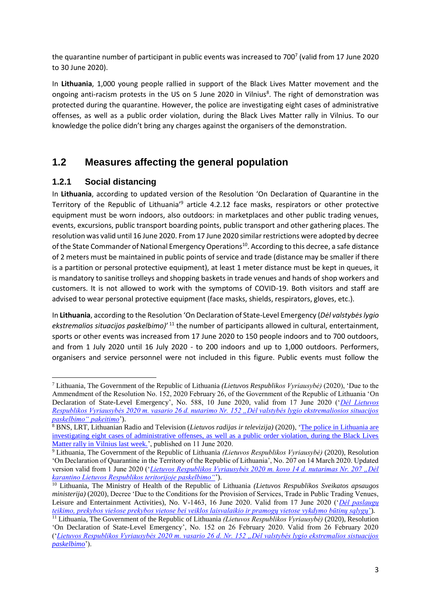the quarantine number of participant in public events was increased to 700<sup>7</sup> (valid from 17 June 2020 to 30 June 2020).

In **Lithuania**, 1,000 young people rallied in support of the Black Lives Matter movement and the ongoing anti-racism protests in the US on 5 June 2020 in Vilnius<sup>8</sup>. The right of demonstration was protected during the quarantine. However, the police are investigating eight cases of administrative offenses, as well as a public order violation, during the Black Lives Matter rally in Vilnius. To our knowledge the police didn't bring any charges against the organisers of the demonstration.

## **1.2 Measures affecting the general population**

#### **1.2.1 Social distancing**

In **Lithuania**, according to updated version of the Resolution 'On Declaration of Quarantine in the Territory of the Republic of Lithuania<sup>'9</sup> article 4.2.12 face masks, respirators or other protective equipment must be worn indoors, also outdoors: in marketplaces and other public trading venues, events, excursions, public transport boarding points, public transport and other gathering places. The resolution was valid until 16 June 2020. From 17 June 2020 similar restrictions were adopted by decree of the State Commander of National Emergency Operations<sup>10</sup>. According to this decree, a safe distance of 2 meters must be maintained in public points of service and trade (distance may be smaller if there is a partition or personal protective equipment), at least 1 meter distance must be kept in queues, it is mandatory to sanitise trolleys and shopping baskets in trade venues and hands of shop workers and customers. It is not allowed to work with the symptoms of COVID-19. Both visitors and staff are advised to wear personal protective equipment (face masks, shields, respirators, gloves, etc.).

In **Lithuania**, according to the Resolution 'On Declaration of State-Level Emergency (*Dėl valstybės lygio*  ekstremalios situacijos paskelbimo)<sup>, 11</sup> the number of participants allowed in cultural, entertainment, sports or other events was increased from 17 June 2020 to 150 people indoors and to 700 outdoors, and from 1 July 2020 until 16 July 2020 - to 200 indoors and up to 1,000 outdoors. Performers, organisers and service personnel were not included in this figure. Public events must follow the

<sup>1</sup> <sup>7</sup> Lithuania, The Government of the Republic of Lithuania *(Lietuvos Respublikos Vyriausybė)* (2020), 'Due to the Ammendment of the Resolution No. 152, 2020 February 26, of the Government of the Republic of Lithuania 'On Declaration of State-Level Emergency', No. 588, 10 June 2020, valid from 17 June 2020 ('*[Dėl Lietuvos](https://e-seimas.lrs.lt/portal/legalAct/lt/TAD/900df810abe011ea8aadde924aa85003?jfwid=-sdmh1y4cb)  [Respublikos Vyriausybės 2020 m. vasario 26 d. nutarimo Nr. 152 "Dėl valstybės lygio ekstremaliosios situacijos](https://e-seimas.lrs.lt/portal/legalAct/lt/TAD/900df810abe011ea8aadde924aa85003?jfwid=-sdmh1y4cb)  [paskelbimo" pakeitimo](https://e-seimas.lrs.lt/portal/legalAct/lt/TAD/900df810abe011ea8aadde924aa85003?jfwid=-sdmh1y4cb)*').

<sup>8</sup> BNS, LRT, Lithuanian Radio and Television (*Lietuvos radijas ir televizija)* (2020), ['The police in Lithuania are](https://www.lrt.lt/en/news-in-english/19/1187358/lithuanian-police-launch-probe-into-black-lives-matter-rally-in-vilnius)  [investigating eight cases of administrative offenses, as well as a public order violation, during the Black Lives](https://www.lrt.lt/en/news-in-english/19/1187358/lithuanian-police-launch-probe-into-black-lives-matter-rally-in-vilnius)  [Matter rally in Vilnius last week.'](https://www.lrt.lt/en/news-in-english/19/1187358/lithuanian-police-launch-probe-into-black-lives-matter-rally-in-vilnius), published on 11 June 2020.

<sup>9</sup> Lithuania, The Government of the Republic of Lithuania *(Lietuvos Respublikos Vyriausybė)* (2020), Resolution 'On Declaration of Quarantine in the Territory of the Republic of Lithuania', No. 207 on 14 March 2020. Updated version valid from 1 June 2020 ('*Lietuvos Respublikos Vyriausybės 2020 m. kovo 14 d. nutarimas Nr. 207 "Dėl [karantino Lietuvos Respublikos teritorijoje paskelbimo"](http://lrv.lt/uploads/main/documents/files/nutarimas%20Nr_%20207%20su%20pakeitimais%2005_27_EN.pdf)*').

<sup>10</sup> Lithuania, The Ministry of Health of the Republic of Lithuania *(Lietuvos Respublikos Sveikatos apsaugos ministerija*) (2020), Decree 'Due to the Conditions for the Provision of Services, Trade in Public Trading Venues, Leisure and Entertainment Activities), No. V-1463, 16 June 2020. Valid from 17 June 2020 ('*[Dėl paslaugų](https://www.e-tar.lt/portal/lt/legalAct/4b25c8d0afaa11eab9d9cd0c85e0b745)  [teikimo, prekybos viešose prekybos vietose bei veiklos laisvalaikio ir pramogų vietose vykdymo būtinų sąlygų](https://www.e-tar.lt/portal/lt/legalAct/4b25c8d0afaa11eab9d9cd0c85e0b745)*')*.*

<sup>11</sup> Lithuania, The Government of the Republic of Lithuania *(Lietuvos Respublikos Vyriausybė)* (2020), Resolution 'On Declaration of State-Level Emergency', No. 152 on 26 February 2020. Valid from 26 February 2020 ('*[Lietuvos Respublikos Vyriausybės 2020 m. vasario 26 d. Nr. 152 "Dėl valstybės lygio ekstremalios sistuacijos](https://e-seimas.lrs.lt/portal/legalAct/lt/TAD/8feb1a7658a111eaac56f6e40072e018?positionInSearchResults=31&searchModelUUID=e5efa5d2-b709-413d-b7ad-feece99aa238)  [paskelbimo](https://e-seimas.lrs.lt/portal/legalAct/lt/TAD/8feb1a7658a111eaac56f6e40072e018?positionInSearchResults=31&searchModelUUID=e5efa5d2-b709-413d-b7ad-feece99aa238)*').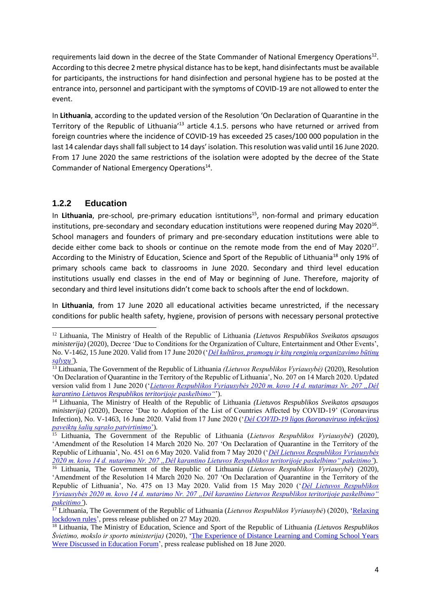requirements laid down in the decree of the State Commander of National Emergency Operations<sup>12</sup>. According to this decree 2 metre physical distance has to be kept, hand disinfectants must be available for participants, the instructions for hand disinfection and personal hygiene has to be posted at the entrance into, personnel and participant with the symptoms of COVID-19 are not allowed to enter the event.

In **Lithuania**, according to the updated version of the Resolution 'On Declaration of Quarantine in the Territory of the Republic of Lithuania<sup>'13</sup> article 4.1.5. persons who have returned or arrived from foreign countries where the incidence of COVID-19 has exceeded 25 cases/100 000 population in the last 14 calendar days shall fall subject to 14 days' isolation. This resolution was valid until 16 June 2020. From 17 June 2020 the same restrictions of the isolation were adopted by the decree of the State Commander of National Emergency Operations<sup>14</sup>.

#### **1.2.2 Education**

**.** 

In Lithuania, pre-school, pre-primary education isntitutions<sup>15</sup>, non-formal and primary education institutions, pre-secondary and secondary education institutions were reopened during May 2020<sup>16</sup>. School managers and founders of primary and pre-secondary education institutions were able to decide either come back to shools or continue on the remote mode from the end of May 2020 $^{17}$ . According to the Ministry of Education, Science and Sport of the Republic of Lithuania<sup>18</sup> only 19% of primary schools came back to classrooms in June 2020. Secondary and third level education institutions usually end classes in the end of May or beginning of June. Therefore, majority of secondary and third level insitutions didn't come back to schools after the end of lockdown.

In **Lithuania**, from 17 June 2020 all educational activities became unrestricted, if the necessary conditions for public health safety, hygiene, provision of persons with necessary personal protective

<sup>12</sup> Lithuania, The Ministry of Health of the Republic of Lithuania *(Lietuvos Respublikos Sveikatos apsaugos ministerija*) (2020), Decree 'Due to Conditions for the Organization of Culture, Entertainment and Other Events', No. V-1462, 15 June 2020. Valid from 17 June 2020 ('*[Dėl kultūros, pramogų ir kitų renginių organizavimo būtinų](https://www.e-tar.lt/portal/lt/legalAct/1125c9b0af1311eab9d9cd0c85e0b745/WnoKPBHNjo)  [sąlygų'](https://www.e-tar.lt/portal/lt/legalAct/1125c9b0af1311eab9d9cd0c85e0b745/WnoKPBHNjo)*)*.*

<sup>13</sup> Lithuania, The Government of the Republic of Lithuania *(Lietuvos Respublikos Vyriausybė)* (2020), Resolution 'On Declaration of Quarantine in the Territory of the Republic of Lithuania', No. 207 on 14 March 2020. Updated version valid from 1 June 2020 ('*Lietuvos Respublikos Vyriausybės 2020 m. kovo 14 d. nutarimas Nr. 207 ..Dėl [karantino Lietuvos Respublikos teritorijoje paskelbimo"](http://lrv.lt/uploads/main/documents/files/nutarimas%20Nr_%20207%20su%20pakeitimais%2005_27_EN.pdf)*').

<sup>14</sup> Lithuania, The Ministry of Health of the Republic of Lithuania *(Lietuvos Respublikos Sveikatos apsaugos ministerija)* (2020), Decree 'Due to Adoption of the List of Countries Affected by COVID-19' (Coronavirus Infection), No. V-1463, 16 June 2020. Valid from 17 June 2020 ('*[Dėl COVID-19 ligos \(koronaviruso infekcijos\)](https://www.e-tar.lt/portal/lt/legalAct/796cb650af9f11eab9d9cd0c85e0b745)  [paveiktų šalių sąrašo patvirtinimo](https://www.e-tar.lt/portal/lt/legalAct/796cb650af9f11eab9d9cd0c85e0b745)*')*.*

<sup>15</sup> Lithuania, The Government of the Republic of Lithuania (*Lietuvos Respublikos Vyriausybė*) (2020), 'Amendment of the Resolution 14 March 2020 No. 207 'On Declaration of Quarantine in the Territory of the Republic of Lithuania', No. 451 on 6 May 2020. Valid from 7 May 2020 ('*[Dėl Lietuvos Respublikos Vyriausybės](https://www.e-tar.lt/portal/lt/legalAct/2c44df508f9d11ea9515f752ff221ec9)  [2020 m. kovo 14 d. nutarimo Nr. 207 "Dėl karantino Lietuvos Respublikos teritorijoje paskelbimo" pakeitimo'](https://www.e-tar.lt/portal/lt/legalAct/2c44df508f9d11ea9515f752ff221ec9)*).

<sup>16</sup> Lithuania, The Government of the Republic of Lithuania (*Lietuvos Respublikos Vyriausybė*) (2020), 'Amendment of the Resolution 14 March 2020 No. 207 'On Declaration of Quarantine in the Territory of the Republic of Lithuania', No. 475 on 13 May 2020. Valid from 15 May 2020 ('*[Dėl Lietuvos Respublikos](https://www.e-tar.lt/portal/lt/legalAct/2c44df508f9d11ea9515f752ff221ec9)  [Vyriausybės 2020 m. kovo 14 d. nutarimo Nr. 207 "Dėl karantino Lietuvos Respublikos teritorijoje paskelbimo"](https://www.e-tar.lt/portal/lt/legalAct/2c44df508f9d11ea9515f752ff221ec9)  [pakeitimo'](https://www.e-tar.lt/portal/lt/legalAct/2c44df508f9d11ea9515f752ff221ec9)*).

<sup>17</sup> Lithuania, The Government of the Republic of Lithuania (*Lietuvos Respublikos Vyriausybė*) (2020), ['Relaxing](http://koronastop.lrv.lt/en/news/relaxing-lockdown-rules)  [lockdown rules'](http://koronastop.lrv.lt/en/news/relaxing-lockdown-rules), press release published on 27 May 2020.

<sup>18</sup> Lithuania, The Ministry of Education, Science and Sport of the Republic of Lithuania *(Lietuvos Respublikos Švietimo, mokslo ir sporto ministerija)* (2020), ['The Experience of Distance Learning and Coming School Years](https://www.smm.lt/web/lt/pranesimai_spaudai/naujienos_1/svietimo-forume-apibendrinama-nuotolinio-mokymo-patirtis-svarstomi-ateinanciu-mokslo-metu-variantai)  [Were Discussed in Education Forum'](https://www.smm.lt/web/lt/pranesimai_spaudai/naujienos_1/svietimo-forume-apibendrinama-nuotolinio-mokymo-patirtis-svarstomi-ateinanciu-mokslo-metu-variantai), press realease published on 18 June 2020.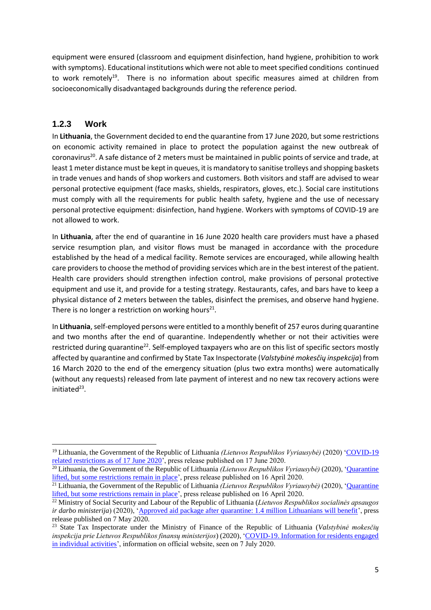equipment were ensured (classroom and equipment disinfection, hand hygiene, prohibition to work with symptoms). Educational institutions which were not able to meet specified conditions continued to work remotely<sup>19</sup>. There is no information about specific measures aimed at children from socioeconomically disadvantaged backgrounds during the reference period.

#### **1.2.3 Work**

In **Lithuania**, the Government decided to end the quarantine from 17 June 2020, but some restrictions on economic activity remained in place to protect the population against the new outbreak of coronavirus<sup>20</sup>. A safe distance of 2 meters must be maintained in public points of service and trade, at least 1 meter distance must be kept in queues, it is mandatory to sanitise trolleys and shopping baskets in trade venues and hands of shop workers and customers. Both visitors and staff are advised to wear personal protective equipment (face masks, shields, respirators, gloves, etc.). Social care institutions must comply with all the requirements for public health safety, hygiene and the use of necessary personal protective equipment: disinfection, hand hygiene. Workers with symptoms of COVID-19 are not allowed to work.

In **Lithuania**, after the end of quarantine in 16 June 2020 health care providers must have a phased service resumption plan, and visitor flows must be managed in accordance with the procedure established by the head of a medical facility. Remote services are encouraged, while allowing health care providers to choose the method of providing services which are in the best interest of the patient. Health care providers should strengthen infection control, make provisions of personal protective equipment and use it, and provide for a testing strategy. Restaurants, cafes, and bars have to keep a physical distance of 2 meters between the tables, disinfect the premises, and observe hand hygiene. There is no longer a restriction on working hours<sup>21</sup>.

In **Lithuania**, self-employed persons were entitled to a monthly benefit of 257 euros during quarantine and two months after the end of quarantine. Independently whether or not their activities were restricted during quarantine<sup>22</sup>. Self-employed taxpayers who are on this list of specific sectors mostly affected by quarantine and confirmed by State Tax Inspectorate (*Valstybinė mokesčių inspekcija*) from 16 March 2020 to the end of the emergency situation (plus two extra months) were automatically (without any requests) released from late payment of interest and no new tax recovery actions were initiated<sup>23</sup>.

**<sup>.</sup>** <sup>19</sup> Lithuania, the Government of the Republic of Lithuania *(Lietuvos Respublikos Vyriausybė)* (2020) ['COVID-19](http://koronastop.lrv.lt/en/news/covid-19-related-restrictions-as-of-17-june-2020)  [related restrictions as of 17 June 2020'](http://koronastop.lrv.lt/en/news/covid-19-related-restrictions-as-of-17-june-2020), press release published on 17 June 2020.

<sup>20</sup> Lithuania, the Government of the Republic of Lithuania *(Lietuvos Respublikos Vyriausybė)* (2020), ['Quarantine](http://koronastop.lrv.lt/en/news/quarantine-lifted-but-some-restrictions-remain-in-place)  [lifted, but some restrictions remain in place'](http://koronastop.lrv.lt/en/news/quarantine-lifted-but-some-restrictions-remain-in-place), press release published on 16 April 2020.

<sup>21</sup> Lithuania, the Government of the Republic of Lithuania *(Lietuvos Respublikos Vyriausybė)* (2020), ['Quarantine](http://koronastop.lrv.lt/en/news/quarantine-lifted-but-some-restrictions-remain-in-place)  [lifted, but some restrictions remain in place'](http://koronastop.lrv.lt/en/news/quarantine-lifted-but-some-restrictions-remain-in-place), press release published on 16 April 2020.

<sup>22</sup> Ministry of Social Security and Labour of the Republic of Lithuania (*Lietuvos Respublikos socialinės apsaugos ir darbo ministerija*) (2020), ['Approved aid package after quarantine: 1.4 million Lithuanians will benefit'](http://socmin.lrv.lt/en/news/approved-aid-package-after-quarantine-1-4-million-lithuanians-will-benefit), press release published on 7 May 2020.

<sup>23</sup> State Tax Inspectorate under the Ministry of Finance of the Republic of Lithuania (*Valstybinė mokesčių inspekcija prie Lietuvos Respublikos finansų ministerijos*) (2020), ['COVID-19. Information for residents engaged](https://www.vmi.lt/cms/en/covid-19-business)  [in individual activities'](https://www.vmi.lt/cms/en/covid-19-business), information on official website, seen on 7 July 2020.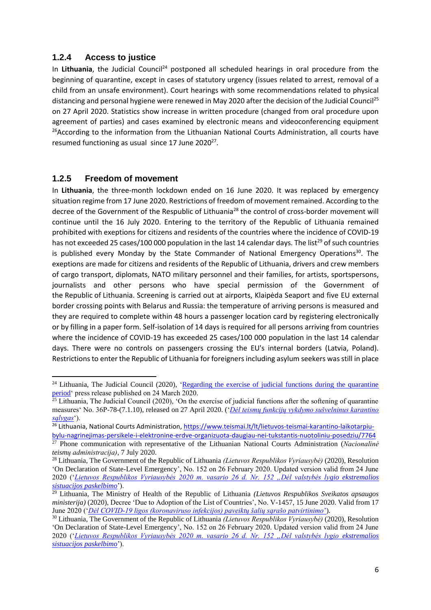#### **1.2.4 Access to justice**

In Lithuania, the Judicial Council<sup>24</sup> postponed all scheduled hearings in oral procedure from the beginning of quarantine, except in cases of statutory urgency (issues related to arrest, removal of a child from an unsafe environment). Court hearings with some recommendations related to physical distancing and personal hygiene were renewed in May 2020 after the decision of the Judicial Council<sup>25</sup> on 27 April 2020. Statistics show increase in written procedure (changed from oral procedure upon agreement of parties) and cases examined by electronic means and videoconferencing equipment <sup>26</sup>According to the information from the Lithuanian National Courts Administration, all courts have resumed functioning as usual since 17 June 2020<sup>27</sup>.

#### **1.2.5 Freedom of movement**

**.** 

In **Lithuania**, the three-month lockdown ended on 16 June 2020. It was replaced by emergency situation regime from 17 June 2020. Restrictions of freedom of movement remained. According to the decree of the Government of the Respublic of Lithuania<sup>28</sup> the control of cross-border movement will continue until the 16 July 2020. Entering to the territory of the Republic of Lithuania remained prohibited with exeptions for citizens and residents of the countries where the incidence of COVID-19 has not exceeded 25 cases/100 000 population in the last 14 calendar days. The list<sup>29</sup> of such countries is published every Monday by the State Commander of National Emergency Operations<sup>30</sup>. The exeptions are made for citizens and residents of the Republic of Lithuania, drivers and crew members of cargo transport, diplomats, NATO military personnel and their families, for artists, sportspersons, journalists and other persons who have special permission of the Government of the Republic of Lithuania. Screening is carried out at airports, Klaipėda Seaport and five EU external border crossing points with Belarus and Russia: the temperature of arriving persons is measured and they are required to complete within 48 hours a passenger location card by registering electronically or by filling in a paper form. Self-isolation of 14 days is required for all persons arriving from countries where the incidence of COVID-19 has exceeded 25 cases/100 000 population in the last 14 calendar days. There were no controls on passengers crossing the EU's internal borders (Latvia, Poland). Restrictions to enter the Republic of Lithuania for foreigners including asylum seekers was still in place

<sup>&</sup>lt;sup>24</sup> Lithuania, The Judicial Council (2020), 'Regarding the exercise of judicial functions during the quarantine [period'](https://www.teismai.lt/en/news/news-of-the-judicial-system/regarding-the-exercise-of-judicial-functions-during-the-quarantine-period/7463) press release published on 24 March 2020.

 $\frac{25}{25}$  Lithuania, The Judicial Council (2020), 'On the exercise of judicial functions after the softening of quarantine measures' No. 36P-78-(7.1.10), released on 27 April 2020. ('*[Dėl teismų funkcijų vykdymo sušvelninus karantino](https://www.teismai.lt/data/public/uploads/2020/04/del-teismu-funkciju-vykdymo-susvelninus-karantino-salygas.pdf)  [sąlygas](https://www.teismai.lt/data/public/uploads/2020/04/del-teismu-funkciju-vykdymo-susvelninus-karantino-salygas.pdf)*').

<sup>26</sup> Lithuania, National Courts Administration, [https://www.teismai.lt/lt/lietuvos-teismai-karantino-laikotarpiu](https://www.teismai.lt/lt/lietuvos-teismai-karantino-laikotarpiu-bylu-nagrinejimas-persikele-i-elektronine-erdve-organizuota-daugiau-nei-tukstantis-nuotoliniu-posedziu/7764)[bylu-nagrinejimas-persikele-i-elektronine-erdve-organizuota-daugiau-nei-tukstantis-nuotoliniu-posedziu/7764](https://www.teismai.lt/lt/lietuvos-teismai-karantino-laikotarpiu-bylu-nagrinejimas-persikele-i-elektronine-erdve-organizuota-daugiau-nei-tukstantis-nuotoliniu-posedziu/7764)

<sup>27</sup> Phone communication with representative of the Lithuanian National Courts Administration (*Nacionalinė teismų administracija)*, 7 July 2020.

<sup>28</sup> Lithuania, The Government of the Republic of Lithuania *(Lietuvos Respublikos Vyriausybė)* (2020), Resolution 'On Declaration of State-Level Emergency', No. 152 on 26 February 2020. Updated version valid from 24 June 2020 ('*[Lietuvos Respublikos Vyriausybės 2020 m. vasario 26 d. Nr. 152 "Dėl valstybės lygio ekstremalios](https://e-seimas.lrs.lt/portal/legalAct/lt/TAD/8feb1a7658a111eaac56f6e40072e018?positionInSearchResults=31&searchModelUUID=e5efa5d2-b709-413d-b7ad-feece99aa238)  [sistuacijos paskelbimo](https://e-seimas.lrs.lt/portal/legalAct/lt/TAD/8feb1a7658a111eaac56f6e40072e018?positionInSearchResults=31&searchModelUUID=e5efa5d2-b709-413d-b7ad-feece99aa238)*').

<sup>29</sup> Lithuania, The Ministry of Health of the Republic of Lithuania *(Lietuvos Respublikos Sveikatos apsaugos ministerija)* (2020), Decree 'Due to Adoption of the List of Countries', No. V-1457, 15 June 2020. Valid from 17 June 2020 ('*[Dėl COVID-19 ligos \(koronaviruso infekcijos\) paveiktų šalių sąrašo patvirtinimo](https://www.e-tar.lt/portal/lt/legalAct/72502ee0af0b11eab9d9cd0c85e0b745)*')*.*

<sup>30</sup> Lithuania, The Government of the Republic of Lithuania *(Lietuvos Respublikos Vyriausybė)* (2020), Resolution 'On Declaration of State-Level Emergency', No. 152 on 26 February 2020. Updated version valid from 24 June 2020 ('*[Lietuvos Respublikos Vyriausybės 2020 m. vasario 26 d. Nr. 152 "Dėl valstybės lygio](https://e-seimas.lrs.lt/portal/legalAct/lt/TAD/8feb1a7658a111eaac56f6e40072e018?positionInSearchResults=31&searchModelUUID=e5efa5d2-b709-413d-b7ad-feece99aa238) ekstremalios [sistuacijos paskelbimo](https://e-seimas.lrs.lt/portal/legalAct/lt/TAD/8feb1a7658a111eaac56f6e40072e018?positionInSearchResults=31&searchModelUUID=e5efa5d2-b709-413d-b7ad-feece99aa238)*').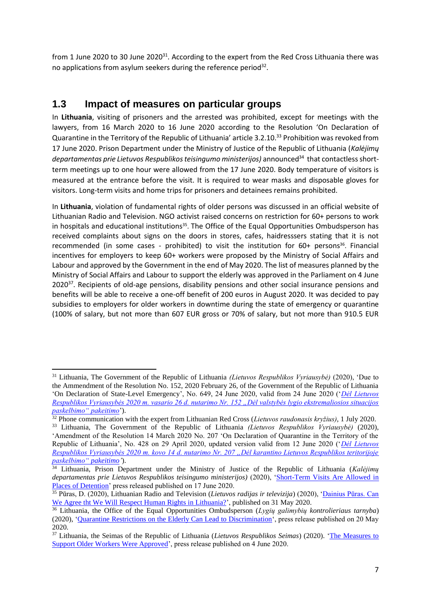from 1 June 2020 to 30 June 2020<sup>31</sup>. According to the expert from the Red Cross Lithuania there was no applications from asylum seekers during the reference period $32$ .

### **1.3 Impact of measures on particular groups**

**.** 

In **Lithuania**, visiting of prisoners and the arrested was prohibited, except for meetings with the lawyers, from 16 March 2020 to 16 June 2020 according to the Resolution 'On Declaration of Quarantine in the Territory of the Republic of Lithuania' article 3.2.10.<sup>33</sup> Prohibition was revoked from 17 June 2020. Prison Department under the Ministry of Justice of the Republic of Lithuania (*Kalėjimų*  departamentas prie Lietuvos Respublikos teisingumo ministerijos) announced<sup>34</sup> that contactless shortterm meetings up to one hour were allowed from the 17 June 2020. Body temperature of visitors is measured at the entrance before the visit. It is required to wear masks and disposable gloves for visitors. Long-term visits and home trips for prisoners and detainees remains prohibited.

In **Lithuania**, violation of fundamental rights of older persons was discussed in an official website of Lithuanian Radio and Television. NGO activist raised concerns on restriction for 60+ persons to work in hospitals and educational institutions<sup>35</sup>. The Office of the Equal Opportunities Ombudsperson has received complaints about signs on the doors in stores, cafes, haidresssers stating that it is not recommended (in some cases - prohibited) to visit the institution for 60+ persons<sup>36</sup>. Financial incentives for employers to keep 60+ workers were proposed by the Ministry of Social Affairs and Labour and approved by the Government in the end of May 2020. The list of measures planned by the Ministry of Social Affairs and Labour to support the elderly was approved in the Parliament on 4 June 2020<sup>37</sup>. Recipients of old-age pensions, disability pensions and other social insurance pensions and benefits will be able to receive a one-off benefit of 200 euros in August 2020. It was decided to pay subsidies to employers for older workers in downtime during the state of emergency or quarantine (100% of salary, but not more than 607 EUR gross or 70% of salary, but not more than 910.5 EUR

<sup>31</sup> Lithuania, The Government of the Republic of Lithuania *(Lietuvos Respublikos Vyriausybė)* (2020), 'Due to the Ammendment of the Resolution No. 152, 2020 February 26, of the Government of the Republic of Lithuania 'On Declaration of State-Level Emergency', No. 649, 24 June 2020, valid from 24 June 2020 ('*[Dėl Lietuvos](https://e-seimas.lrs.lt/portal/legalAct/lt/TAD/454ee011b51111ea9a12d0dada3ca61b?jfwid=-sdmh1y4cb)  [Respublikos Vyriausybės 2020 m. vasario 26 d. nutarimo Nr. 152 "Dėl valstybės lygio ekstremaliosios situacijos](https://e-seimas.lrs.lt/portal/legalAct/lt/TAD/454ee011b51111ea9a12d0dada3ca61b?jfwid=-sdmh1y4cb)  [paskelbimo" pakeitimo](https://e-seimas.lrs.lt/portal/legalAct/lt/TAD/454ee011b51111ea9a12d0dada3ca61b?jfwid=-sdmh1y4cb)*').

<sup>32</sup> Phone communication with the expert from Lithuanian Red Cross (*Lietuvos raudonasis kryžius)*, 1 July 2020. <sup>33</sup> Lithuania, The Government of the Republic of Lithuania *(Lietuvos Respublikos Vyriausybė)* (2020),

<sup>&#</sup>x27;Amendment of the Resolution 14 March 2020 No. 207 'On Declaration of Quarantine in the Territory of the Republic of Lithuania', No. 428 on 29 April 2020, updated version valid from 12 June 2020 ('*[Dėl Lietuvos](https://e-seimas.lrs.lt/portal/legalAct/lt/TAD/deaf8694663011eaa02cacf2a861120c/HmlveLyVSw?jfwid=11p6e3gcz8)  [Respublikos Vyriausybės 2020 m. kovo 14 d. nutarimo Nr. 207 "Dėl karantino Lietuvos Respublikos teritorijoje](https://e-seimas.lrs.lt/portal/legalAct/lt/TAD/deaf8694663011eaa02cacf2a861120c/HmlveLyVSw?jfwid=11p6e3gcz8)  [paskelbimo" pakeitimo'](https://e-seimas.lrs.lt/portal/legalAct/lt/TAD/deaf8694663011eaa02cacf2a861120c/HmlveLyVSw?jfwid=11p6e3gcz8)*).

<sup>34</sup> Lithuania, Prison Department under the Ministry of Justice of the Republic of Lithuania (*Kalėjimų departamentas prie Lietuvos Respublikos teisingumo ministerijos)* (2020), ['Short-Term Visits Are Allowed in](http://www.kaldep.lt/lt/kalejimu-departamentas/auktualijos/naujienos-kaldep/laisves-atemimo-vietu-c1ha.html)  [Places of Detention'](http://www.kaldep.lt/lt/kalejimu-departamentas/auktualijos/naujienos-kaldep/laisves-atemimo-vietu-c1ha.html) press released published on 17 June 2020.

<sup>35</sup> Pūras, D. (2020), Lithuanian Radio and Television (*Lietuvos radijas ir televizija*) (2020), ['Dainius Pūras. Can](https://www.lrt.lt/naujienos/nuomones/3/1183032/dainius-puras-ar-galime-susitarti-kad-lietuvoje-gerbsime-zmogaus-teises?fbclid=IwAR0jo6TfDiWMD4rkhZkLK3E7OaUBiP-m_Zcy24AvNDqPDHFYW0rVOmcFEXU)  [We Agree tht We Will Respect Human Rights in Lithuania?'](https://www.lrt.lt/naujienos/nuomones/3/1183032/dainius-puras-ar-galime-susitarti-kad-lietuvoje-gerbsime-zmogaus-teises?fbclid=IwAR0jo6TfDiWMD4rkhZkLK3E7OaUBiP-m_Zcy24AvNDqPDHFYW0rVOmcFEXU), published on 31 May 2020.

<sup>36</sup> Lithuania, the Office of the Equal Opportunities Ombudsperson (*Lygių galimybių kontrolieriaus tarnyba*) (2020), ['Quarantine Restrictions on the Elderly Can Lead to Discrimination'](https://www.lygybe.lt/lt/vyresnio-amziaus-karantinas-diskriminacija), press release published on 20 May 2020.

<sup>37</sup> Lithuania, the Seimas of the Republic of Lithuania (*Lietuvos Respublikos Seimas*) (2020). ['The Measures to](https://www.lrs.lt/sip/portal.show?p_r=35403&p_k=1&p_t=271412)  [Support Older Workers Were Approved'](https://www.lrs.lt/sip/portal.show?p_r=35403&p_k=1&p_t=271412), press release published on 4 June 2020.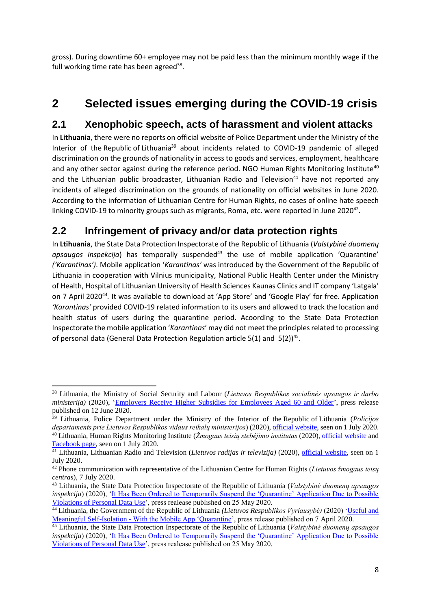gross). During downtime 60+ employee may not be paid less than the minimum monthly wage if the full working time rate has been agreed<sup>38</sup>.

# **2 Selected issues emerging during the COVID-19 crisis**

### **2.1 Xenophobic speech, acts of harassment and violent attacks**

In **Lithuania**, there were no reports on official website of Police Department under the Ministry of the Interior of the Republic of Lithuania<sup>39</sup> about incidents related to COVID-19 pandemic of alleged discrimination on the grounds of nationality in access to goods and services, employment, healthcare and any other sector against during the reference period. NGO Human Rights Monitoring Institute<sup>40</sup> and the Lithuanian public broadcaster, Lithuanian Radio and Television<sup>41</sup> have not reported any incidents of alleged discrimination on the grounds of nationality on official websites in June 2020. According to the information of Lithuanian Centre for Human Rights, no cases of online hate speech linking COVID-19 to minority groups such as migrants, Roma, etc. were reported in June 2020<sup>42</sup>.

# **2.2 Infringement of privacy and/or data protection rights**

In **Ltihuania**, the State Data Protection Inspectorate of the Republic of Lithuania (*Valstybinė duomenų*  apsaugos inspekcija) has temporally suspended<sup>43</sup> the use of mobile application 'Quarantine' *('Karantinas')*. Mobile application '*Karantinas'* was introduced by the Government of the Republic of Lithuania in cooperation with Vilnius municipality, National Public Health Center under the Ministry of Health, Hospital of Lithuanian University of Health Sciences Kaunas Clinics and IT company 'Latgala' on 7 April 2020<sup>44</sup>. It was available to download at 'App Store' and 'Google Play' for free. Application *'Karantinas'* provided COVID-19 related information to its users and allowed to track the location and health status of users during the quarantine period. Acoording to the State Data Protection Inspectorate the mobile application '*Karantinas*' may did not meet the principles related to processing of personal data (General Data Protection Regulation article  $5(1)$  and  $5(2)$ )<sup>45</sup>.

**<sup>.</sup>** <sup>38</sup> Lithuania, the Ministry of Social Security and Labour (*Lietuvos Respublikos socialinės apsaugos ir darbo ministerija*) (2020), ['Employers Receive Higher Subsidies for Employees Aged 60 and Older'](https://socmin.lrv.lt/en/news/employers-receive-higher-subsidies-for-employees-aged-60-and-older), press release published on 12 June 2020.

<sup>39</sup> Lithuania, Police Department under the Ministry of the Interior of the Republic of Lithuania (*Policijos departaments prie Lietuvos Respublikos vidaus reikalų ministerijos*) (2020)[, official website,](https://policija.lrv.lt/lt/naujienos) seen on 1 July 2020. <sup>40</sup> Lithuania, Human Rights Monitoring Institute (*Žmogaus teisių stebėjimo institutas* (2020), [official website](http://hrmi.lt/) and [Facebook page,](https://www.facebook.com/HRMI.LT) seen on 1 July 2020.

<sup>41</sup> Lithuania, Lithuanian Radio and Television (*Lietuvos radijas ir televizija)* (2020), [official website,](https://www.lrt.lt/) seen on 1 July 2020.

<sup>42</sup> Phone communication with representative of the Lithuanian Centre for Human Rights (*Lietuvos žmogaus teisų centras*), 7 July 2020.

<sup>43</sup> Lithuania, the State Data Protection Inspectorate of the Republic of Lithuania (*Valstybinė duomenų apsaugos inspekcija*) (2020), ['It Has Been Ordered to Temporarily Suspend the 'Quarantine' Application Due to Possible](https://vdai.lrv.lt/lt/naujienos/nurodyta-laikinai-sustabdyti-programele-karantinas-del-galimai-netinkamo-asmens-duomenu-tvarkymo)  [Violations of Personal Data Use'](https://vdai.lrv.lt/lt/naujienos/nurodyta-laikinai-sustabdyti-programele-karantinas-del-galimai-netinkamo-asmens-duomenu-tvarkymo), press realease published on 25 May 2020.

<sup>44</sup> Lithuania, the Government of the Republic of Lithuania *(Lietuvos Respublikos Vyriausybė)* (2020) ['Useful and](https://koronastop.lrv.lt/lt/naujienos/naudinga-ir-turininga-saviizoliacija-su-mobiliaja-programele-karantinas)  Meaningful Self-Isolation - [With the Mobile App 'Quarantine'](https://koronastop.lrv.lt/lt/naujienos/naudinga-ir-turininga-saviizoliacija-su-mobiliaja-programele-karantinas), press release published on 7 April 2020.

<sup>45</sup> Lithuania, the State Data Protection Inspectorate of the Republic of Lithuania (*Valstybinė duomenų apsaugos inspekcija*) (2020), ['It Has Been Ordered to Temporarily Suspend the 'Quarantine' Application Due to Possible](https://vdai.lrv.lt/lt/naujienos/nurodyta-laikinai-sustabdyti-programele-karantinas-del-galimai-netinkamo-asmens-duomenu-tvarkymo)  [Violations of Personal Data Use'](https://vdai.lrv.lt/lt/naujienos/nurodyta-laikinai-sustabdyti-programele-karantinas-del-galimai-netinkamo-asmens-duomenu-tvarkymo), press realease published on 25 May 2020.